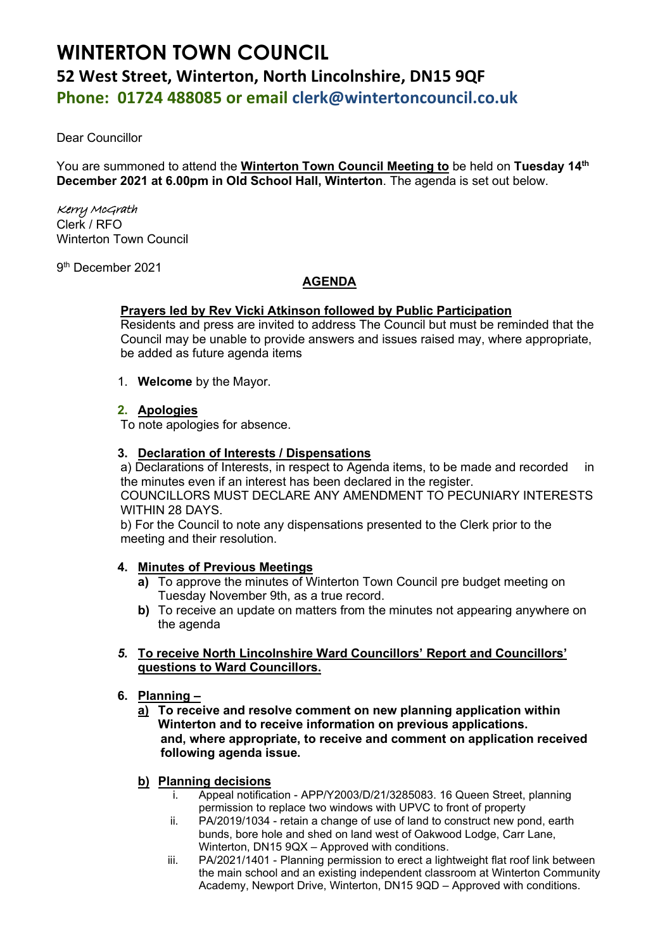# **WINTERTON TOWN COUNCIL 52 West Street, Winterton, North Lincolnshire, DN15 9QF Phone: 01724 488085 or email clerk@wintertoncouncil.co.uk**

Dear Councillor

You are summoned to attend the **Winterton Town Council Meeting to** be held on **Tuesday 14th December 2021 at 6.00pm in Old School Hall, Winterton**. The agenda is set out below.

# Kerry McGrath

Clerk / RFO Winterton Town Council

9 th December 2021

# **AGENDA**

# **Prayers led by Rev Vicki Atkinson followed by Public Participation**

Residents and press are invited to address The Council but must be reminded that the Council may be unable to provide answers and issues raised may, where appropriate, be added as future agenda items

1. **Welcome** by the Mayor.

# **2. Apologies**

To note apologies for absence.

# **3. Declaration of Interests / Dispensations**

a) Declarations of Interests, in respect to Agenda items, to be made and recorded in the minutes even if an interest has been declared in the register. COUNCILLORS MUST DECLARE ANY AMENDMENT TO PECUNIARY INTERESTS WITHIN 28 DAYS.

b) For the Council to note any dispensations presented to the Clerk prior to the meeting and their resolution.

# **4. Minutes of Previous Meetings**

- **a)** To approve the minutes of Winterton Town Council pre budget meeting on Tuesday November 9th, as a true record.
- **b)** To receive an update on matters from the minutes not appearing anywhere on the agenda
- *5.* **To receive North Lincolnshire Ward Councillors' Report and Councillors' questions to Ward Councillors.**
- **6. Planning –**
	- **a) To receive and resolve comment on new planning application within Winterton and to receive information on previous applications. and, where appropriate, to receive and comment on application received following agenda issue.**
	- **b) Planning decisions**
		- i. Appeal notification APP/Y2003/D/21/3285083. 16 Queen Street, planning permission to replace two windows with UPVC to front of property
		- ii. PA/2019/1034 retain a change of use of land to construct new pond, earth bunds, bore hole and shed on land west of Oakwood Lodge, Carr Lane, Winterton, DN15 9QX – Approved with conditions.
		- iii. PA/2021/1401 Planning permission to erect a lightweight flat roof link between the main school and an existing independent classroom at Winterton Community Academy, Newport Drive, Winterton, DN15 9QD – Approved with conditions.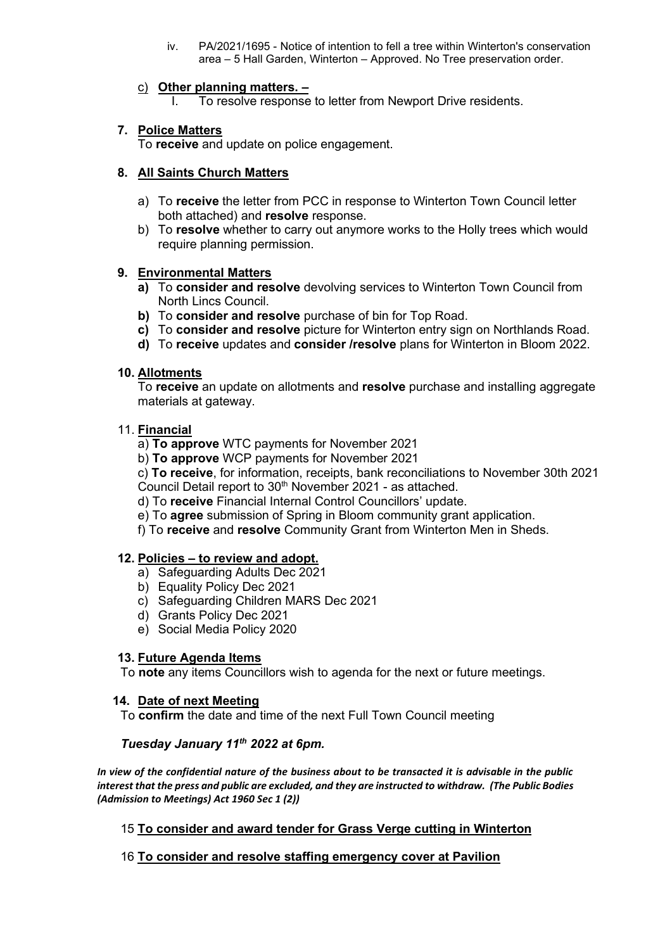iv. PA/2021/1695 - Notice of intention to fell a tree within Winterton's conservation area – 5 Hall Garden, Winterton – Approved. No Tree preservation order.

# c) **Other planning matters. –**

To resolve response to letter from Newport Drive residents.

# **7. Police Matters**

To **receive** and update on police engagement.

# **8. All Saints Church Matters**

- a) To **receive** the letter from PCC in response to Winterton Town Council letter both attached) and **resolve** response.
- b) To **resolve** whether to carry out anymore works to the Holly trees which would require planning permission.

#### **9. Environmental Matters**

- **a)** To **consider and resolve** devolving services to Winterton Town Council from North Lincs Council.
- **b)** To **consider and resolve** purchase of bin for Top Road.
- **c)** To **consider and resolve** picture for Winterton entry sign on Northlands Road.
- **d)** To **receive** updates and **consider /resolve** plans for Winterton in Bloom 2022.

# **10. Allotments**

To **receive** an update on allotments and **resolve** purchase and installing aggregate materials at gateway.

#### 11. **Financial**

a) **To approve** WTC payments for November 2021

b) **To approve** WCP payments for November 2021

c) **To receive**, for information, receipts, bank reconciliations to November 30th 2021 Council Detail report to 30<sup>th</sup> November 2021 - as attached.

d) To **receive** Financial Internal Control Councillors' update.

e) To **agree** submission of Spring in Bloom community grant application.

f) To **receive** and **resolve** Community Grant from Winterton Men in Sheds.

# **12. Policies – to review and adopt.**

- a) Safeguarding Adults Dec 2021
- b) Equality Policy Dec 2021
- c) Safeguarding Children MARS Dec 2021
- d) Grants Policy Dec 2021
- e) Social Media Policy 2020

# **13. Future Agenda Items**

To **note** any items Councillors wish to agenda for the next or future meetings.

#### **14. Date of next Meeting**

To **confirm** the date and time of the next Full Town Council meeting

# *Tuesday January 11th 2022 at 6pm.*

*In view of the confidential nature of the business about to be transacted it is advisable in the public interest that the press and public are excluded, and they are instructed to withdraw. (The Public Bodies (Admission to Meetings) Act 1960 Sec 1 (2))* 

# 15 **To consider and award tender for Grass Verge cutting in Winterton**

# 16 **To consider and resolve staffing emergency cover at Pavilion**